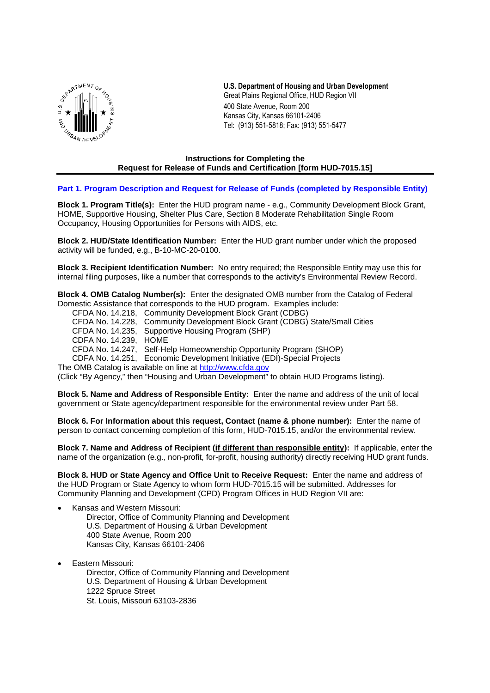

**U.S. Department of Housing and Urban Development** Great Plains Regional Office, HUD Region VII 400 State Avenue, Room 200 Kansas City, Kansas 66101-2406 Tel: (913) 551-5818; Fax: (913) 551-5477

### **Instructions for Completing the Request for Release of Funds and Certification [form HUD-7015.15]**

### **Part 1. Program Description and Request for Release of Funds (completed by Responsible Entity)**

**Block 1. Program Title(s):** Enter the HUD program name - e.g., Community Development Block Grant, HOME, Supportive Housing, Shelter Plus Care, Section 8 Moderate Rehabilitation Single Room Occupancy, Housing Opportunities for Persons with AIDS, etc.

**Block 2. HUD/State Identification Number:** Enter the HUD grant number under which the proposed activity will be funded, e.g., B-10-MC-20-0100.

**Block 3. Recipient Identification Number:** No entry required; the Responsible Entity may use this for internal filing purposes, like a number that corresponds to the activity's Environmental Review Record.

**Block 4. OMB Catalog Number(s):** Enter the designated OMB number from the Catalog of Federal Domestic Assistance that corresponds to the HUD program. Examples include:

- CFDA No. 14.218, Community Development Block Grant (CDBG)
- CFDA No. 14.228, Community Development Block Grant (CDBG) State/Small Cities
- CFDA No. 14.235, Supportive Housing Program (SHP)
- CDFA No. 14.239, HOME

CFDA No. 14.247, Self-Help Homeownership Opportunity Program (SHOP)

CDFA No. 14.251, Economic Development Initiative (EDI)-Special Projects

The OMB Catalog is available on line at http://www.cfda.gov

(Click "By Agency," then "Housing and Urban Development" to obtain HUD Programs listing).

**Block 5. Name and Address of Responsible Entity:** Enter the name and address of the unit of local government or State agency/department responsible for the environmental review under Part 58.

**Block 6. For Information about this request, Contact (name & phone number):** Enter the name of person to contact concerning completion of this form, HUD-7015.15, and/or the environmental review.

**Block 7. Name and Address of Recipient (if different than responsible entity):** If applicable, enter the name of the organization (e.g., non-profit, for-profit, housing authority) directly receiving HUD grant funds.

**Block 8. HUD or State Agency and Office Unit to Receive Request:** Enter the name and address of the HUD Program or State Agency to whom form HUD-7015.15 will be submitted. Addresses for Community Planning and Development (CPD) Program Offices in HUD Region VII are:

- Kansas and Western Missouri:
	- Director, Office of Community Planning and Development U.S. Department of Housing & Urban Development 400 State Avenue, Room 200 Kansas City, Kansas 66101-2406
- Eastern Missouri:

Director, Office of Community Planning and Development U.S. Department of Housing & Urban Development 1222 Spruce Street St. Louis, Missouri 63103-2836